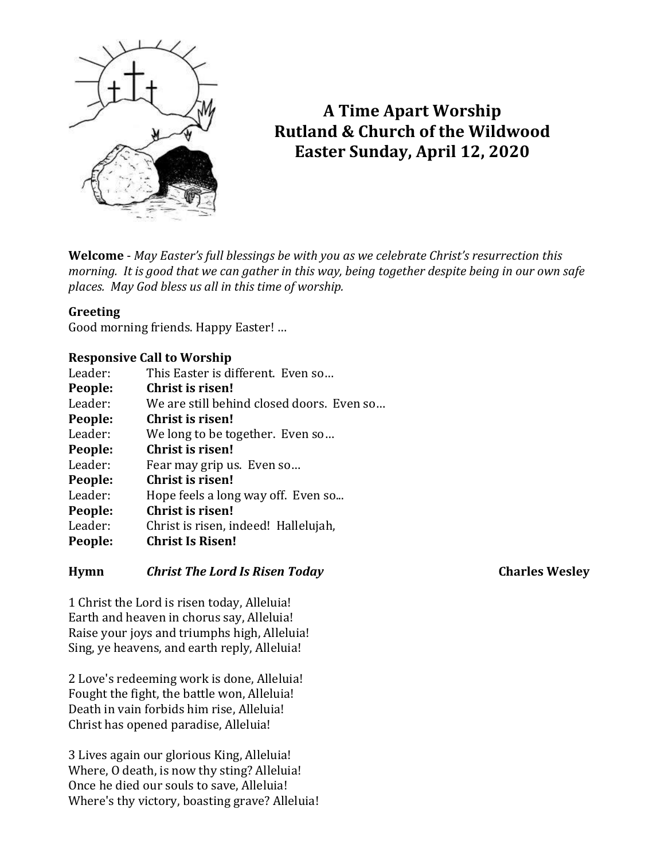

# **A Time Apart Worship Rutland & Church of the Wildwood Easter Sunday, April 12, 2020**

**Welcome** - *May Easter's full blessings be with you as we celebrate Christ's resurrection this morning. It is good that we can gather in this way, being together despite being in our own safe places. May God bless us all in this time of worship.*

#### **Greeting**

Good morning friends. Happy Easter! …

#### **Responsive Call to Worship**

| Leader: | This Easter is different. Even so         |
|---------|-------------------------------------------|
| People: | <b>Christ is risen!</b>                   |
| Leader: | We are still behind closed doors. Even so |
| People: | <b>Christ is risen!</b>                   |
| Leader: | We long to be together. Even so           |
| People: | Christ is risen!                          |
| Leader: | Fear may grip us. Even so                 |
| People: | Christ is risen!                          |
| Leader: | Hope feels a long way off. Even so        |
| People: | Christ is risen!                          |
| Leader: | Christ is risen, indeed! Hallelujah,      |
| People: | <b>Christ Is Risen!</b>                   |
|         |                                           |

#### **Hymn** *Christ The Lord Is Risen Today* **Charles Wesley**

1 Christ the Lord is risen today, Alleluia! Earth and heaven in chorus say, Alleluia! Raise your joys and triumphs high, Alleluia! Sing, ye heavens, and earth reply, Alleluia!

2 Love's redeeming work is done, Alleluia! Fought the fight, the battle won, Alleluia! Death in vain forbids him rise, Alleluia! Christ has opened paradise, Alleluia!

3 Lives again our glorious King, Alleluia! Where, O death, is now thy sting? Alleluia! Once he died our souls to save, Alleluia! Where's thy victory, boasting grave? Alleluia!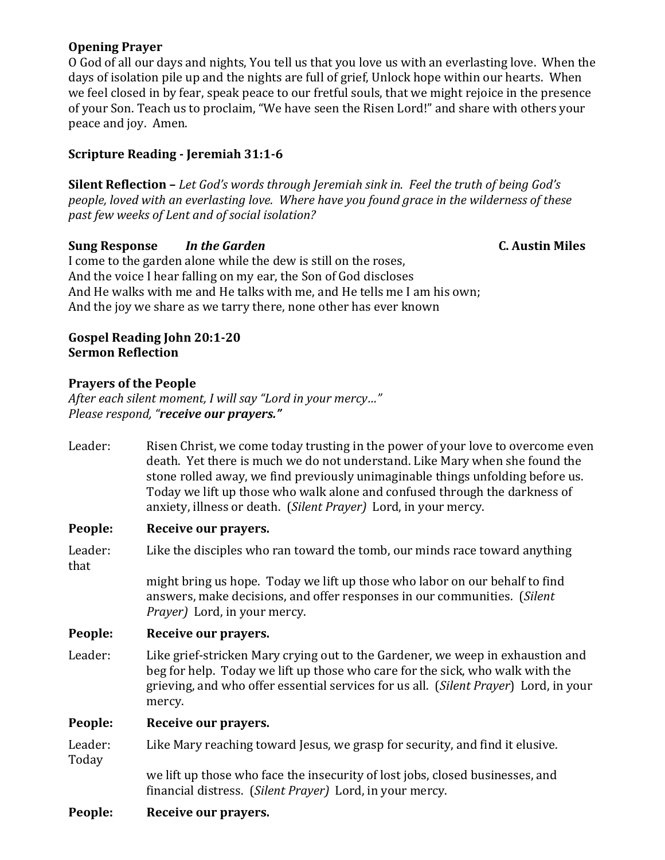### **Opening Prayer**

O God of all our days and nights, You tell us that you love us with an everlasting love. When the days of isolation pile up and the nights are full of grief, Unlock hope within our hearts. When we feel closed in by fear, speak peace to our fretful souls, that we might rejoice in the presence of your Son. Teach us to proclaim, "We have seen the Risen Lord!" and share with others your peace and joy. Amen.

## **Scripture Reading - Jeremiah 31:1-6**

**Silent Reflection –** *Let God's words through Jeremiah sink in. Feel the truth of being God's people, loved with an everlasting love. Where have you found grace in the wilderness of these past few weeks of Lent and of social isolation?*

#### **Sung Response** *In the Garden* **C. Austin Miles**

I come to the garden alone while the dew is still on the roses, And the voice I hear falling on my ear, the Son of God discloses And He walks with me and He talks with me, and He tells me I am his own; And the joy we share as we tarry there, none other has ever known

#### **Gospel Reading John 20:1-20 Sermon Reflection**

#### **Prayers of the People**

*After each silent moment, I will say "Lord in your mercy…" Please respond, "receive our prayers."*

| Leader:          | Risen Christ, we come today trusting in the power of your love to overcome even<br>death. Yet there is much we do not understand. Like Mary when she found the<br>stone rolled away, we find previously unimaginable things unfolding before us.<br>Today we lift up those who walk alone and confused through the darkness of<br>anxiety, illness or death. (Silent Prayer) Lord, in your mercy. |
|------------------|---------------------------------------------------------------------------------------------------------------------------------------------------------------------------------------------------------------------------------------------------------------------------------------------------------------------------------------------------------------------------------------------------|
| People:          | Receive our prayers.                                                                                                                                                                                                                                                                                                                                                                              |
| Leader:<br>that  | Like the disciples who ran toward the tomb, our minds race toward anything                                                                                                                                                                                                                                                                                                                        |
|                  | might bring us hope. Today we lift up those who labor on our behalf to find<br>answers, make decisions, and offer responses in our communities. (Silent<br><i>Prayer</i> ) Lord, in your mercy.                                                                                                                                                                                                   |
| People:          | Receive our prayers.                                                                                                                                                                                                                                                                                                                                                                              |
| Leader:          | Like grief-stricken Mary crying out to the Gardener, we weep in exhaustion and<br>beg for help. Today we lift up those who care for the sick, who walk with the<br>grieving, and who offer essential services for us all. (Silent Prayer) Lord, in your<br>mercy.                                                                                                                                 |
| People:          | Receive our prayers.                                                                                                                                                                                                                                                                                                                                                                              |
| Leader:<br>Today | Like Mary reaching toward Jesus, we grasp for security, and find it elusive.                                                                                                                                                                                                                                                                                                                      |
|                  | we lift up those who face the insecurity of lost jobs, closed businesses, and<br>financial distress. (Silent Prayer) Lord, in your mercy.                                                                                                                                                                                                                                                         |
| People:          | Receive our prayers.                                                                                                                                                                                                                                                                                                                                                                              |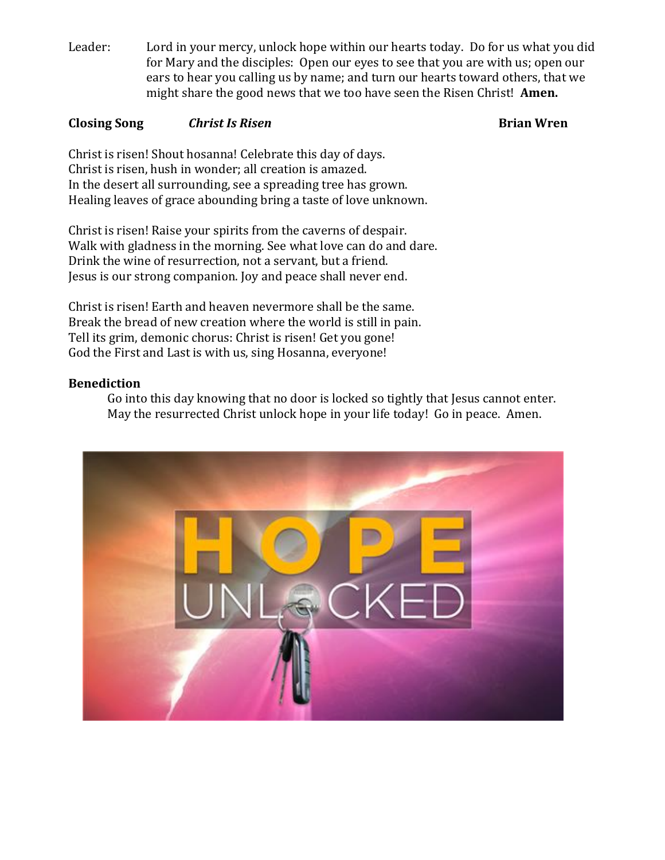Leader: Lord in your mercy, unlock hope within our hearts today. Do for us what you did for Mary and the disciples: Open our eyes to see that you are with us; open our ears to hear you calling us by name; and turn our hearts toward others, that we might share the good news that we too have seen the Risen Christ! **Amen.**

### **Closing Song** *Christ Is Risen* **<b>Brian Wren Brian Wren**

Christ is risen! Shout hosanna! Celebrate this day of days. Christ is risen, hush in wonder; all creation is amazed. In the desert all surrounding, see a spreading tree has grown. Healing leaves of grace abounding bring a taste of love unknown.

Christ is risen! Raise your spirits from the caverns of despair. Walk with gladness in the morning. See what love can do and dare. Drink the wine of resurrection, not a servant, but a friend. Jesus is our strong companion. Joy and peace shall never end.

Christ is risen! Earth and heaven nevermore shall be the same. Break the bread of new creation where the world is still in pain. Tell its grim, demonic chorus: Christ is risen! Get you gone! God the First and Last is with us, sing Hosanna, everyone!

#### **Benediction**

Go into this day knowing that no door is locked so tightly that Jesus cannot enter. May the resurrected Christ unlock hope in your life today! Go in peace. Amen.